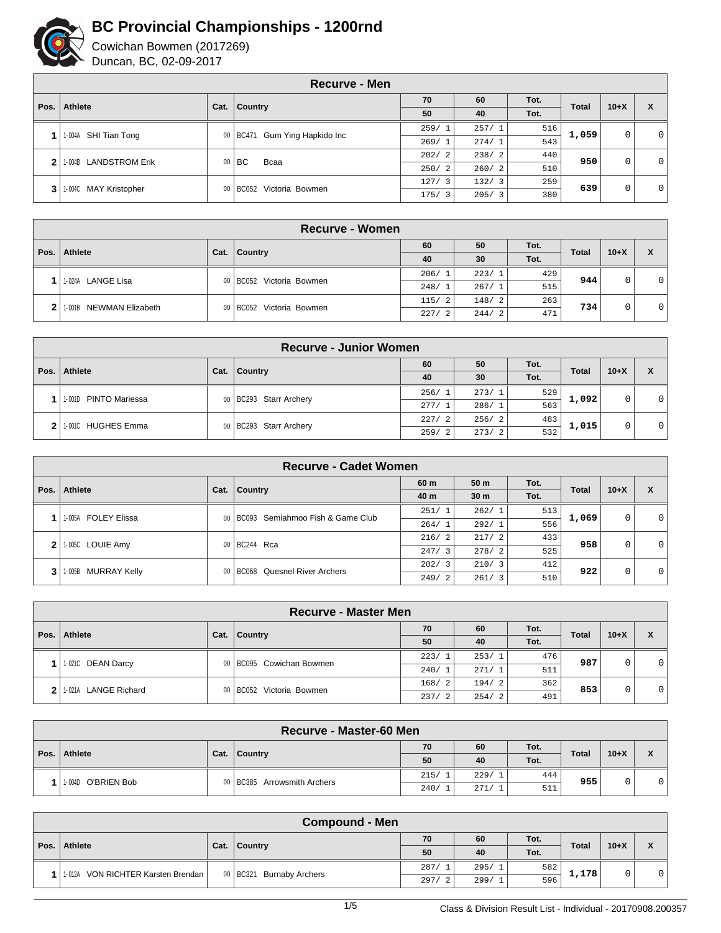

|      | <b>Recurve - Men</b>    |      |                                    |             |       |      |              |        |                |  |
|------|-------------------------|------|------------------------------------|-------------|-------|------|--------------|--------|----------------|--|
| Pos. | Athlete                 | Cat. | Country                            | 70          | 60    | Tot. | <b>Total</b> | $10+X$ | X              |  |
|      |                         |      |                                    | 50          | 40    | Tot. |              |        |                |  |
|      | 1-004A SHI Tian Tong    |      | Gum Ying Hapkido Inc<br>00   BC471 | 259/1       | 257/1 | 516  | 1,059        | 0      | $\overline{0}$ |  |
|      |                         |      |                                    | 269/1       | 274/1 | 543  |              |        |                |  |
|      | 2 1-004B LANDSTROM Erik | 00   | l BC.<br>Bcaa                      | 202/<br>- 2 | 238/2 | 440  | 950          | 0      | $\overline{0}$ |  |
|      |                         |      |                                    | 250/2       | 260/2 | 510  |              |        |                |  |
|      | 3 1.004C MAY Kristopher |      | Victoria Bowmen<br>00 BC052        | 127/3       | 132/3 | 259  | 639          | 0      | 0 <sup>1</sup> |  |
|      |                         |      |                                    | 175/3       | 205/3 | 380  |              |        |                |  |

|              | <b>Recurve - Women</b>  |                          |                            |       |       |      |              |        |                |  |  |
|--------------|-------------------------|--------------------------|----------------------------|-------|-------|------|--------------|--------|----------------|--|--|
| Pos.         | <b>Athlete</b>          |                          | 60<br>50<br><b>Country</b> |       |       | Tot. | <b>Total</b> | $10+X$ | X              |  |  |
|              |                         | Cat.                     |                            | 40    | 30    | Tot. |              |        |                |  |  |
|              | 1-024A LANGE Lisa       |                          |                            | 206/1 | 223/1 | 429  | 944          | 0      | 0 <sup>1</sup> |  |  |
|              |                         |                          | 00 BC052 Victoria Bowmen   | 248/1 | 267/1 | 515  |              |        |                |  |  |
| $\mathbf{2}$ |                         |                          |                            | 115/2 | 148/2 | 263  | 734          |        | 0 <sup>1</sup> |  |  |
|              | 1.001B NEWMAN Elizabeth | 00 BC052 Victoria Bowmen | 227/<br>$\overline{2}$     | 244/2 | 471   |      |              |        |                |  |  |

|      | <b>Recurve - Junior Women</b> |      |                          |       |       |      |              |        |   |   |  |
|------|-------------------------------|------|--------------------------|-------|-------|------|--------------|--------|---|---|--|
| Pos. | Athlete                       |      |                          | 60    | 50    | Tot. | <b>Total</b> |        |   |   |  |
|      |                               | Cat. | Country                  | 40    | 30    | Tot. |              | $10+X$ | X |   |  |
|      | 1-001D PINTO Mariessa         |      | 00   BC293 Starr Archery | 256/1 | 273/1 | 529  | 1,092        |        | 0 | 0 |  |
|      |                               |      |                          | 277/1 | 286/1 | 563  |              |        |   |   |  |
| 2    | 1-001C HUGHES Emma            |      | 00   BC293 Starr Archery | 227/2 | 256/2 | 483  | 1,015        |        |   |   |  |
|      |                               |      |                          | 259/2 | 273/2 | 532  |              | 0      | 0 |   |  |

|      | <b>Recurve - Cadet Women</b> |                                  |                                     |                       |                 |      |                |        |                |  |  |
|------|------------------------------|----------------------------------|-------------------------------------|-----------------------|-----------------|------|----------------|--------|----------------|--|--|
| Pos. | Athlete                      | Cat.                             | <b>Country</b>                      | 60 m                  | 50 m            | Tot. | <b>Total</b>   | $10+X$ | X              |  |  |
|      |                              |                                  |                                     | 40 m                  | 30 <sub>m</sub> | Tot. |                |        |                |  |  |
|      | 1-005A FOLEY Elissa          |                                  | 00 BC093 Semiahmoo Fish & Game Club | 251/1                 | 262/1           | 513  | 1,069          | 0      | $\overline{0}$ |  |  |
|      |                              |                                  |                                     | 264/1                 | 292/1           | 556  |                |        |                |  |  |
|      | $2$   1-005C LOUIE Amy       |                                  | 00 BC244 Rca                        | 216/2                 | 217/2           | 433  | 958            | 0      | $\overline{0}$ |  |  |
|      |                              |                                  |                                     | 247/3                 | 278/2           | 525  |                |        |                |  |  |
| 3    |                              |                                  |                                     | 210/3<br>412<br>202/3 | 922             | 0    | $\overline{0}$ |        |                |  |  |
|      | 1-005B MURRAY Kelly          | 00   BC068 Quesnel River Archers | 249/2                               | 261/3                 | 510             |      |                |        |                |  |  |

|              | <b>Recurve - Master Men</b> |                          |                          |       |       |      |                        |   |                |  |  |  |
|--------------|-----------------------------|--------------------------|--------------------------|-------|-------|------|------------------------|---|----------------|--|--|--|
| Pos.         | <b>Athlete</b>              | Cat.                     | <b>Country</b>           | 70    | 60    | Tot. | $10+X$<br><b>Total</b> | X |                |  |  |  |
|              |                             |                          |                          | 50    | 40    | Tot. |                        |   |                |  |  |  |
|              | 1-021C DEAN Darcy           |                          | 00 BC095 Cowichan Bowmen | 223/1 | 253/1 | 476  | 987<br>853             | 0 | $\overline{0}$ |  |  |  |
|              |                             |                          |                          | 240/1 | 271/1 | 511  |                        |   |                |  |  |  |
|              |                             |                          |                          | 168/2 | 194/2 | 362  |                        |   | 0              |  |  |  |
| $\mathbf{2}$ | 1-021A LANGE Richard        | 00 BC052 Victoria Bowmen | 237/<br>$\overline{2}$   | 254/2 | 491   |      | 0                      |   |                |  |  |  |

|      | Recurve - Master-60 Men |      |                               |       |       |      |              |        |   |  |  |  |
|------|-------------------------|------|-------------------------------|-------|-------|------|--------------|--------|---|--|--|--|
| Pos. | <b>Athlete</b>          |      |                               | 70    | 60    | Tot. | <b>Total</b> | $10+X$ | X |  |  |  |
|      |                         | Cat. | <b>Country</b>                | 50    | 40    | Tot. |              |        |   |  |  |  |
|      |                         |      |                               | 215/1 | 229/  | 444  | 955          |        |   |  |  |  |
|      | O'BRIEN Bob<br>1-004D   |      | 00   BC385 Arrowsmith Archers | 240/  | 271/1 | 511  |              |        | 0 |  |  |  |

|      | <b>Compound - Men</b>              |  |                            |       |       |      |              |        |   |  |  |
|------|------------------------------------|--|----------------------------|-------|-------|------|--------------|--------|---|--|--|
|      |                                    |  |                            | 70    | 60    | Tot. | <b>Total</b> | $10+X$ | X |  |  |
| Pos. | Athlete                            |  | Cat.   Country             | 50    | 40    | Tot. |              |        |   |  |  |
|      | 1-012A VON RICHTER Karsten Brendan |  | 00   BC321 Burnaby Archers | 287/  | 295/1 | 582  | 1,178        | 0      | 0 |  |  |
|      |                                    |  |                            | 297/2 | 299/1 | 596  |              |        |   |  |  |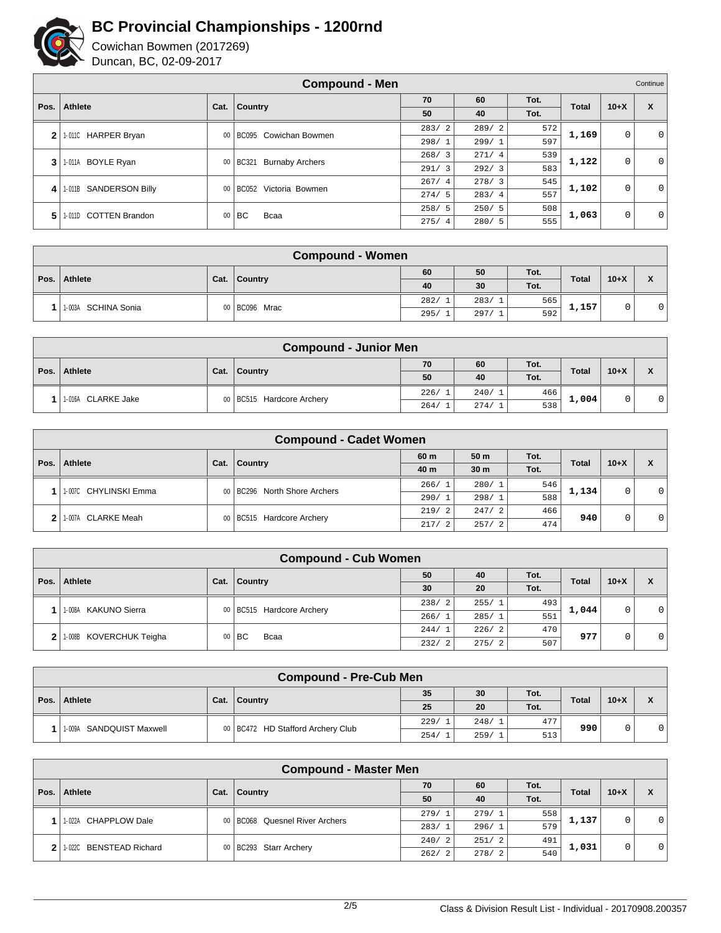

|              | <b>Compound - Men</b><br>Continue |        |                                 |            |       |      |              |             |              |
|--------------|-----------------------------------|--------|---------------------------------|------------|-------|------|--------------|-------------|--------------|
| Pos.         | Athlete                           | Cat.   | <b>Country</b>                  | 70         | 60    | Tot. | <b>Total</b> | $10+X$      | X            |
|              |                                   |        |                                 | 50         | 40    | Tot. |              |             |              |
| $\mathbf{2}$ | 1-011C HARPER Bryan               | $00\,$ | BC095 Cowichan Bowmen           | 283/<br>-2 | 289/2 | 572  | 1,169        | $\mathbf 0$ | $\mathbf{0}$ |
|              |                                   |        |                                 | 298/1      | 299/1 | 597  |              |             |              |
| 3            | <b>BOYLE Ryan</b><br>1-011A       | 00     | BC321<br><b>Burnaby Archers</b> | 268/3      | 271/4 | 539  | 1,122        | $\mathbf 0$ | $\mathbf{0}$ |
|              |                                   |        |                                 | 291/3      | 292/3 | 583  |              |             |              |
| 4            | <b>SANDERSON Billy</b><br>1-011B  | 00     | Victoria Bowmen<br><b>BC052</b> | 267/4      | 278/3 | 545  | 1,102        | 0           | $\mathbf{0}$ |
|              |                                   |        |                                 | 274/5      | 283/4 | 557  |              |             |              |
| 5            | <b>COTTEN Brandon</b><br>1-011D   | $00\,$ |                                 | 258/5      | 250/5 | 508  | 1,063        |             | $\mathbf{0}$ |
|              |                                   |        | l BC.<br>Bcaa                   | 275/4      | 280/5 | 555  |              | 0           |              |

| <b>Compound - Women</b> |      |               |       |       |      |              |        |                                 |  |  |  |
|-------------------------|------|---------------|-------|-------|------|--------------|--------|---------------------------------|--|--|--|
|                         | Cat. |               | 60    | 50    | Tot. | <b>Total</b> | $10+X$ | $\mathbf{v}$                    |  |  |  |
| Pos.   Athlete          |      | Country       | 40    | 30    | Tot. |              |        | $\boldsymbol{\mathsf{\Lambda}}$ |  |  |  |
| 1-003A SCHINA Sonia     |      | 00 BC096 Mrac | 282/1 | 283/1 | 565  | 1,157        |        |                                 |  |  |  |
|                         |      |               | 295/1 | 297/1 | 592  |              |        |                                 |  |  |  |

|      | <b>Compound - Junior Men</b> |      |                             |      |       |      |              |        |   |  |  |
|------|------------------------------|------|-----------------------------|------|-------|------|--------------|--------|---|--|--|
|      |                              |      |                             | 70   | 60    | Tot. | <b>Total</b> | $10+X$ | X |  |  |
| Pos. | Athlete                      | Cat. | <b>Country</b>              | 50   | 40    | Tot. |              |        |   |  |  |
|      | 1-016A CLARKE Jake           |      | 00   BC515 Hardcore Archery | 226/ | 240/1 | 466  | 1,004        |        | 0 |  |  |
|      |                              |      |                             | 264/ | 274/1 | 538  |              |        |   |  |  |

|      | <b>Compound - Cadet Women</b> |      |                              |             |                 |      |              |        |     |  |  |
|------|-------------------------------|------|------------------------------|-------------|-----------------|------|--------------|--------|-----|--|--|
| Pos. | Athlete                       |      |                              | 60 m        | 50 <sub>m</sub> | Tot. | <b>Total</b> | $10+X$ | X   |  |  |
|      |                               | Cat. | <b>Country</b>               | 40 m        | 30 <sub>m</sub> | Tot. |              |        |     |  |  |
|      | 11-007C CHYLINSKI Emma        |      | 00 BC296 North Shore Archers | 266/1       | 280/1           | 546  | 1,134        |        | 0 I |  |  |
|      |                               |      |                              | 290/1       | 298/1           | 588  |              |        |     |  |  |
|      | 11-007A CLARKE Meah           |      |                              | 219/2       | 247/2           | 466  | 940          |        |     |  |  |
| 2    |                               |      | 00 BC515 Hardcore Archery    | 217/<br>- 2 | 257/2           | 474  |              |        | 0 I |  |  |

|      | <b>Compound - Cub Women</b> |      |                             |                        |       |      |              |        |                |  |  |  |
|------|-----------------------------|------|-----------------------------|------------------------|-------|------|--------------|--------|----------------|--|--|--|
| Pos. | Athlete                     | Cat. | <b>Country</b>              | 50                     | 40    | Tot. | <b>Total</b> | $10+X$ | X              |  |  |  |
|      |                             |      |                             | 30                     | 20    | Tot. |              |        |                |  |  |  |
|      | 1.008A KAKUNO Sierra        |      | 00   BC515 Hardcore Archery | 238/2                  | 255/1 | 493  | 1,044        |        | 0 <sup>1</sup> |  |  |  |
|      |                             |      |                             | 266/1                  | 285/1 | 551  |              |        |                |  |  |  |
|      | 2 1-008B KOVERCHUK Teigha   |      | $00$ BC<br>Bcaa             | 244/1                  | 226/2 | 470  | 977          |        | $\overline{0}$ |  |  |  |
|      |                             |      |                             | 232/<br>$\overline{2}$ | 275/2 | 507  |              |        |                |  |  |  |

|      | <b>Compound - Pre-Cub Men</b> |      |                                     |       |      |      |              |        |  |  |  |
|------|-------------------------------|------|-------------------------------------|-------|------|------|--------------|--------|--|--|--|
|      |                               |      |                                     | 35    | 30   | Tot. |              | $10+X$ |  |  |  |
| Pos. | Athlete                       | Cat. | <b>Country</b>                      | 25    | 20   | Tot. | <b>Total</b> |        |  |  |  |
|      |                               |      |                                     | 229/1 | 248/ | 477  | 990          |        |  |  |  |
|      | 1-009A SANDQUIST Maxwell      |      | 00   BC472 HD Stafford Archery Club | 254/  | 259/ | 513  |              | 0      |  |  |  |

|      | <b>Compound - Master Men</b>      |      |                                  |       |       |      |              |        |             |  |  |
|------|-----------------------------------|------|----------------------------------|-------|-------|------|--------------|--------|-------------|--|--|
| Pos. | <b>Athlete</b>                    | Cat. | 70<br>$ $ Country                |       | 60    | Tot. | <b>Total</b> |        |             |  |  |
|      |                                   |      |                                  | 50    | 40    | Tot. |              | $10+X$ | X           |  |  |
|      | 1-022A CHAPPLOW Dale              |      | 00   BC068 Quesnel River Archers | 279/1 | 279/1 | 558  |              | 0      | $\mathbf 0$ |  |  |
|      |                                   |      |                                  | 283/1 | 296/1 | 579  | 1,137        |        |             |  |  |
| 2    | <b>BENSTEAD Richard</b><br>1-022C |      | 00   BC293 Starr Archery         | 240/2 | 251/2 | 491  | 1,031        | 0      | $\mathbf 0$ |  |  |
|      |                                   |      |                                  | 262/2 | 278/2 | 540  |              |        |             |  |  |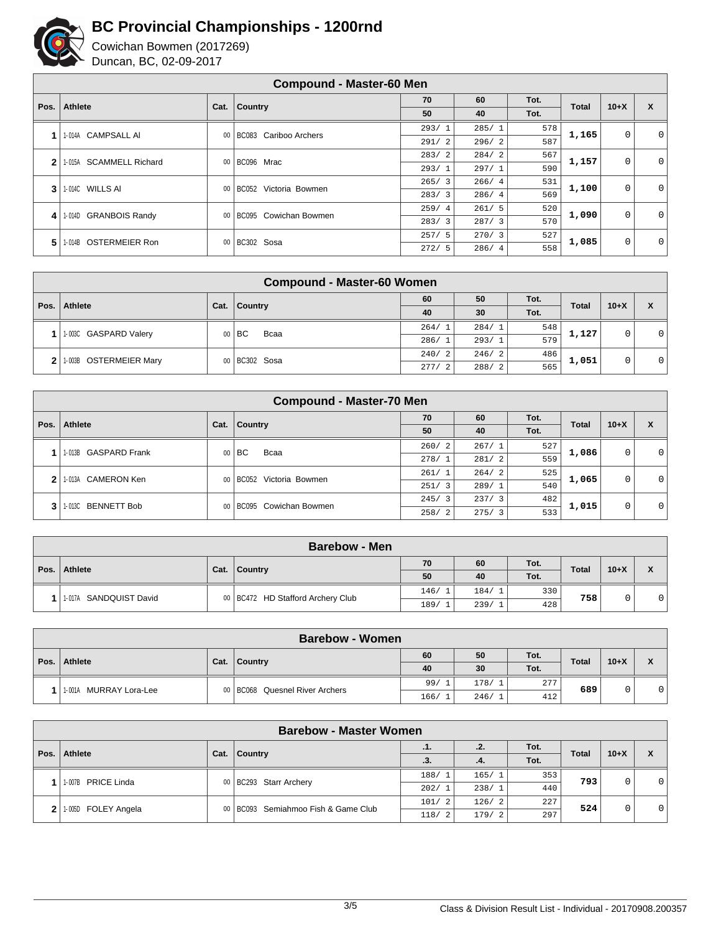

|              | <b>Compound - Master-60 Men</b>   |      |                                 |       |       |      |              |             |                           |  |
|--------------|-----------------------------------|------|---------------------------------|-------|-------|------|--------------|-------------|---------------------------|--|
| Pos. $\vert$ | <b>Athlete</b>                    |      |                                 | 70    | 60    | Tot. | <b>Total</b> | $10+X$      | $\boldsymbol{\mathsf{x}}$ |  |
|              |                                   | Cat. | Country                         | 50    | 40    | Tot. |              |             |                           |  |
| 1            | <b>CAMPSALL AI</b><br>1-014A      | 00   | Cariboo Archers<br><b>BC083</b> | 293/1 | 285/1 | 578  | 1,165        | $\mathbf 0$ | 0                         |  |
|              |                                   |      |                                 | 291/2 | 296/2 | 587  |              |             |                           |  |
| 2            | <b>SCAMMELL Richard</b><br>1-015A | 00   | BC096 Mrac                      | 283/2 | 284/2 | 567  | 1,157        | $\mathbf 0$ | 0                         |  |
|              |                                   |      |                                 | 293/1 | 297/1 | 590  |              |             |                           |  |
| 3            | 1-014C WILLS AI                   | 00   | Victoria Bowmen<br><b>BC052</b> | 265/3 | 266/4 | 531  | 1,100        | $\mathbf 0$ | 0                         |  |
|              |                                   |      |                                 | 283/3 | 286/4 | 569  |              |             |                           |  |
| 4            | <b>GRANBOIS Randy</b><br>1-014D   | 00   | BC095 Cowichan Bowmen           | 259/4 | 261/5 | 520  | 1,090        | $\mathbf 0$ | 0                         |  |
|              |                                   |      |                                 | 283/3 | 287/3 | 570  |              |             |                           |  |
| 5.           | <b>OSTERMEIER Ron</b><br>1-014B   | 00   | BC302 Sosa                      | 257/5 | 270/3 | 527  | 1,085        | $\mathbf 0$ | 0                         |  |
|              |                                   |      |                                 | 272/5 | 286/4 | 558  |              |             |                           |  |

|                | <b>Compound - Master-60 Women</b> |                |               |            |       |      |              |        |                |  |  |
|----------------|-----------------------------------|----------------|---------------|------------|-------|------|--------------|--------|----------------|--|--|
| Pos. $\vert$   | Athlete                           | Cat.   Country |               | 60         | 50    | Tot. | <b>Total</b> | $10+X$ | X              |  |  |
|                |                                   |                |               | 40         | 30    | Tot. |              |        |                |  |  |
|                | 1-003C GASPARD Valery             | 00             | BC.<br>Bcaa   | 264/1      | 284/1 | 548  | 1,127        | 0      | $\overline{0}$ |  |  |
|                |                                   |                |               | 286/1      | 293/1 | 579  |              |        |                |  |  |
| 2 <sup>1</sup> | 1-003B OSTERMEIER Mary            |                | 00 BC302 Sosa | 240/2      | 246/2 | 486  | 1,051        | 0      | 0 <sup>1</sup> |  |  |
|                |                                   |                |               | 277/<br>-2 | 288/2 | 565  |              |        |                |  |  |

|              | <b>Compound - Master-70 Men</b> |      |                            |            |       |      |              |        |              |  |
|--------------|---------------------------------|------|----------------------------|------------|-------|------|--------------|--------|--------------|--|
| Pos.         | <b>Athlete</b>                  | Cat. | Country                    | 70         | 60    | Tot. | <b>Total</b> | $10+X$ | X            |  |
|              |                                 |      |                            | 50         | 40    | Tot. |              |        |              |  |
|              |                                 |      | $00$ $\vert$ BC<br>Bcaa    | 260/2      | 267/1 | 527  | 1,086        | 0      | 0            |  |
|              | 11-013B GASPARD Frank           |      |                            | 278/1      | 281/2 | 559  |              |        |              |  |
| $\mathbf{2}$ | CAMERON Ken<br>1-013A           |      | 00 BC052 Victoria Bowmen   | 261/1      | 264/2 | 525  | 1,065        | 0      | $\mathbf{0}$ |  |
|              |                                 |      |                            | 251/3      | 289/1 | 540  |              |        |              |  |
| 3            | <b>BENNETT Bob</b><br>1-013C    |      |                            | 245/3      | 237/3 | 482  | 1,015        |        |              |  |
|              |                                 |      | 00   BC095 Cowichan Bowmen | 258/<br>-2 | 275/3 | 533  |              | 0      | $\mathbf{0}$ |  |

|                        |      | <b>Barebow - Men</b>                |       |       |      |              |        |              |
|------------------------|------|-------------------------------------|-------|-------|------|--------------|--------|--------------|
|                        |      |                                     | 70    | 60    | Tot. |              |        | $\mathbf{v}$ |
| Pos.   Athlete         | Cat. | <b>Country</b>                      | 50    | 40    | Tot. | <b>Total</b> | $10+X$ |              |
|                        |      |                                     | 146/1 | 184/1 | 330  | 758          |        |              |
| 1-017A SANDQUIST David |      | 00   BC472 HD Stafford Archery Club | 189/  | 239/1 | 428  |              | 0      | 01           |

|      |                         |      | <b>Barebow - Women</b>           |       |       |      |              |        |                |
|------|-------------------------|------|----------------------------------|-------|-------|------|--------------|--------|----------------|
|      |                         |      |                                  | 60    | 50    | Tot. | <b>Total</b> | $10+X$ |                |
| Pos. | Athlete                 | Cat. | Country                          | 40    | 30    | Tot. |              |        |                |
|      | 11-001A MURRAY Lora-Lee |      | 00   BC068 Quesnel River Archers | 99/1  | 178/1 | 277  | 689          |        | $\overline{0}$ |
|      |                         |      |                                  | 166/1 | 246/1 | 412  |              |        |                |

|              | <b>Barebow - Master Women</b> |      |                                     |       |       |      |                        |   |                |  |  |  |
|--------------|-------------------------------|------|-------------------------------------|-------|-------|------|------------------------|---|----------------|--|--|--|
| Pos.         | Athlete                       | Cat. | <b>Country</b>                      | .1.   | .2.   | Tot. | <b>Total</b><br>$10+X$ |   |                |  |  |  |
|              |                               |      |                                     | .3.   | .4.   | Tot. |                        |   | X              |  |  |  |
|              | 1-007B PRICE Linda            |      | 00   BC293 Starr Archery            | 188/1 | 165/1 | 353  | 793                    |   |                |  |  |  |
|              |                               |      |                                     | 202/1 | 238/1 | 440  |                        |   | $\overline{0}$ |  |  |  |
| $\mathbf{2}$ | 1-005D FOLEY Angela           |      | 00 BC093 Semiahmoo Fish & Game Club | 101/2 | 126/2 | 227  | 524                    | 0 |                |  |  |  |
|              |                               |      |                                     | 118/2 | 179/2 | 297  |                        |   | $\overline{0}$ |  |  |  |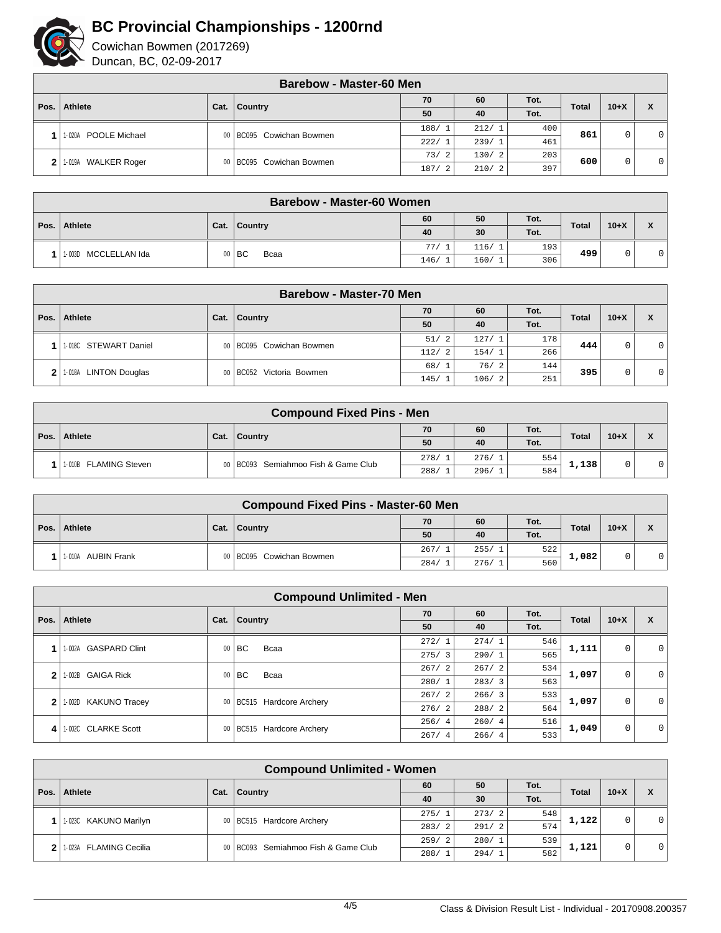

|      |                         |      | <b>Barebow - Master-60 Men</b> |       |       |      |              |          |              |
|------|-------------------------|------|--------------------------------|-------|-------|------|--------------|----------|--------------|
| Pos. | Athlete                 | Cat. | 70<br>Country                  |       | 60    | Tot. | <b>Total</b> | $10 + X$ | X            |
|      |                         |      |                                | 50    | 40    | Tot. |              |          |              |
|      | POOLE Michael<br>1-020A |      | 00 BC095 Cowichan Bowmen       | 188/1 | 212/1 | 400  | 861<br>461   |          | $\mathbf{0}$ |
|      |                         |      |                                | 222/1 | 239/1 |      |              |          |              |
|      | 1-019A                  |      |                                | 73/2  | 130/2 | 203  | 600          | $\Omega$ |              |
|      | <b>WALKER Roger</b>     |      | 00 BC095 Cowichan Bowmen       | 187/  | 210/2 | 397  |              |          | 0            |

|              | <b>Barebow - Master-60 Women</b> |  |                    |       |       |      |              |        |             |  |
|--------------|----------------------------------|--|--------------------|-------|-------|------|--------------|--------|-------------|--|
|              |                                  |  |                    | 60    | 50    | Tot. | <b>Total</b> | $10+X$ | $\mathbf v$ |  |
| Pos. $\vert$ | Athlete                          |  | Cat.   Country     | 40    | 30    | Tot. |              |        |             |  |
|              |                                  |  |                    | 77/1  | 116/1 | 193  | 499          | ⌒      |             |  |
|              | MCCLELLAN Ida<br>1-003D          |  | l BC<br>Bcaa<br>00 | 146/1 | 160/1 | 306  |              | U      | 01          |  |

|              | Barebow - Master-70 Men         |      |                          |                        |       |      |              |        |   |  |  |  |
|--------------|---------------------------------|------|--------------------------|------------------------|-------|------|--------------|--------|---|--|--|--|
| Pos.         | Athlete                         |      |                          | 70                     | 60    | Tot. | <b>Total</b> | $10+X$ |   |  |  |  |
|              |                                 | Cat. | Country                  | 50                     | 40    | Tot. |              |        | X |  |  |  |
|              | 1.018C STEWART Daniel           |      | 00 BC095 Cowichan Bowmen | 51/<br>2               | 127/  | 178  | 444          | 0      | 0 |  |  |  |
|              |                                 |      |                          | 112/<br>$\overline{2}$ | 154/1 | 266  |              |        |   |  |  |  |
| $\mathbf{2}$ | <b>LINTON Douglas</b><br>1-018A |      | 00 BC052 Victoria Bowmen | 68/1                   | 76/2  | 144  | 395          |        |   |  |  |  |
|              |                                 |      |                          | 145/1                  | 106/2 | 251  |              | 0      | 0 |  |  |  |

|      | <b>Compound Fixed Pins - Men</b> |      |                                       |      |       |      |              |        |              |  |  |
|------|----------------------------------|------|---------------------------------------|------|-------|------|--------------|--------|--------------|--|--|
|      |                                  |      |                                       | 70   | 60    | Tot. | <b>Total</b> | $10+X$ | $\mathbf{v}$ |  |  |
| Pos. | Athlete                          | Cat. | Country                               | 50   | 40    | Tot. |              |        | ́            |  |  |
|      |                                  |      |                                       | 278/ | 276/1 | 554  | 1,138        |        |              |  |  |
|      | 1-010B FLAMING Steven            |      | 00   BC093 Semiahmoo Fish & Game Club | 288/ | 296/  | 584  |              |        | 0            |  |  |

| <b>Compound Fixed Pins - Master-60 Men</b> |                           |      |                            |      |       |      |              |        |              |
|--------------------------------------------|---------------------------|------|----------------------------|------|-------|------|--------------|--------|--------------|
| Pos.                                       | Athlete                   | Cat. | Country                    | 70   | 60    | Tot. | <b>Total</b> | $10+X$ | $\mathbf{v}$ |
|                                            |                           |      |                            | 50   | 40    | Tot. |              |        |              |
|                                            | AUBIN Frank<br>$1 - 010A$ |      | 00   BC095 Cowichan Bowmen | 267/ | 255/1 | 522  | 1,082        |        | 01           |
|                                            |                           |      |                            | 284/ | 276/1 | 560  |              |        |              |

|      | <b>Compound Unlimited - Men</b> |                              |         |       |       |      |                                 |        |       |       |       |   |   |       |       |     |       |   |   |
|------|---------------------------------|------------------------------|---------|-------|-------|------|---------------------------------|--------|-------|-------|-------|---|---|-------|-------|-----|-------|---|---|
|      | Athlete                         | Cat.                         | Country | 70    | 60    | Tot. |                                 |        | X     |       |       |   |   |       |       |     |       |   |   |
| Pos. |                                 |                              |         | 50    | 40    | Tot. | <b>Total</b>                    | $10+X$ |       |       |       |   |   |       |       |     |       |   |   |
| 1    | <b>GASPARD Clint</b><br>I-002A  |                              |         |       |       |      | BC<br>Bcaa                      | 272/1  | 274/1 | 546   | 1,111 | 0 | 0 |       |       |     |       |   |   |
|      |                                 | 00                           |         | 275/3 | 290/1 | 565  |                                 |        |       |       |       |   |   |       |       |     |       |   |   |
| 2    | <b>GAIGA Rick</b><br>- 002B     | 00                           |         |       |       |      | 267/2<br>l BC.<br>Bcaa<br>280/1 | 267/2  | 534   | 1,097 | 0     | 0 |   |       |       |     |       |   |   |
|      |                                 |                              |         |       |       |      |                                 |        | 283/3 | 563   |       |   |   |       |       |     |       |   |   |
| 2    | <b>KAKUNO Tracey</b><br>$-002D$ | BC515 Hardcore Archery<br>00 |         |       |       |      |                                 |        |       |       |       |   |   | 267/2 | 266/3 | 533 | 1,097 | 0 | 0 |
|      |                                 |                              | 276/2   | 288/2 | 564   |      |                                 |        |       |       |       |   |   |       |       |     |       |   |   |
| 4    | 1-002C CLARKE Scott             | BC515 Hardcore Archery<br>00 |         | 256/4 | 260/4 | 516  | 1,049                           | 0      | 0     |       |       |   |   |       |       |     |       |   |   |
|      |                                 |                              |         | 267/4 | 266/4 | 533  |                                 |        |       |       |       |   |   |       |       |     |       |   |   |

| <b>Compound Unlimited - Women</b> |                                  |      |                                       |       |       |              |       |        |                                  |
|-----------------------------------|----------------------------------|------|---------------------------------------|-------|-------|--------------|-------|--------|----------------------------------|
| Pos.                              | Athlete                          |      | 60<br>$ $ Country<br>40               | 50    | Tot.  | <b>Total</b> |       |        |                                  |
|                                   |                                  | Cat. |                                       |       | 30    | Tot.         |       | $10+X$ | X                                |
|                                   | 1-023C KAKUNO Marilyn            |      | 00   BC515 Hardcore Archery           | 275/1 | 273/2 | 548          | 1,122 |        | $\overline{0}$<br>$\overline{0}$ |
|                                   |                                  |      |                                       | 283/2 | 291/2 | 574          |       |        |                                  |
|                                   | <b>FLAMING Cecilia</b><br>1-023A |      | 00   BC093 Semiahmoo Fish & Game Club | 259/2 | 280/1 | 539          | 1,121 |        |                                  |
|                                   |                                  |      |                                       | 288/1 | 294/1 | 582          |       |        |                                  |